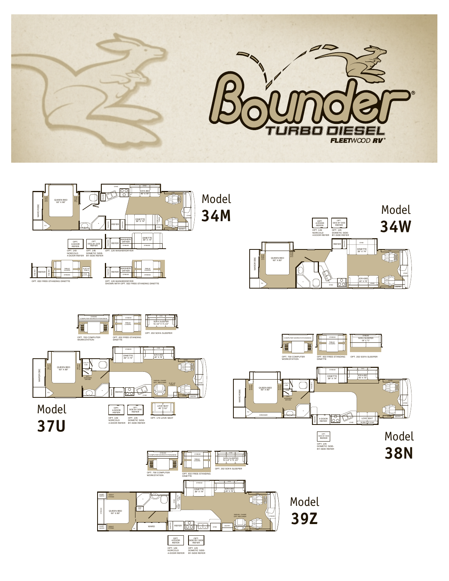

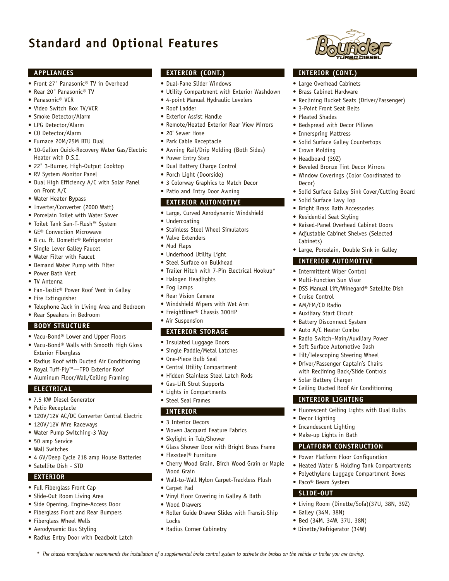# **Standard and Optional Features**

### **APPLIANCES**

- Front 27" Panasonic® TV in Overhead
- Rear 20" Panasonic® TV
- Panasonic® VCR
- Video Switch Box TV/VCR
- Smoke Detector/Alarm
- LPG Detector/Alarm
- CO Detector/Alarm
- Furnace 20M/25M BTU Dual
- 10-Gallon Quick-Recovery Water Gas/Electric Heater with D.S.I.
- 22" 3-Burner, High-Output Cooktop
- RV System Monitor Panel
- Dual High Efficiency A/C with Solar Panel on Front A/C
- Water Heater Bypass
- Inverter/Converter (2000 Watt)
- Porcelain Toilet with Water Saver
- Toilet Tank San-T-Flush™ System
- GE® Convection Microwave
- 8 cu. ft. Dometic® Refrigerator
- Single Lever Galley Faucet
- Water Filter with Faucet
- Demand Water Pump with Filter
- Power Bath Vent
- TV Antenna
- Fan-Tastic® Power Roof Vent in Galley
- Fire Extinguisher
- Telephone Jack in Living Area and Bedroom
- Rear Speakers in Bedroom

#### **BODY STRUCTURE**

- Vacu-Bond® Lower and Upper Floors
- Vacu-Bond® Walls with Smooth High Gloss Exterior Fiberglass
- Radius Roof with Ducted Air Conditioning
- Royal Tuff-Ply™—TPO Exterior Roof
- Aluminum Floor/Wall/Ceiling Framing

### **ELECTRICAL**

- 7.5 KW Diesel Generator
- Patio Receptacle
- 120V/12V AC/DC Converter Central Electric
- 120V/12V Wire Raceways
- Water Pump Switching-3 Way
- 50 amp Service
- Wall Switches
- 4 6V/Deep Cycle 218 amp House Batteries
- Satellite Dish STD

### **EXTERIOR**

- Full Fiberglass Front Cap
- Slide-Out Room Living Area
- Side Opening, Engine-Access Door
- Fiberglass Front and Rear Bumpers
- Fiberglass Wheel Wells
- Aerodynamic Bus Styling
- Radius Entry Door with Deadbolt Latch

### **EXTERIOR (CONT.)**

- Dual-Pane Slider Windows
- Utility Compartment with Exterior Washdown

**INTERIOR (CONT.)** • Large Overhead Cabinets • Brass Cabinet Hardware

• 3-Point Front Seat Belts • Pleated Shades

• Crown Molding • Headboard (39Z)

• Solid Surface Lavy Top • Bright Brass Bath Accessories • Residential Seat Styling

Decor)

Cabinets)

• Cruise Control • AM/FM/CD Radio • Auxiliary Start Circuit • Battery Disconnect System • Auto A/C Heater Combo

• Bedspread with Decor Pillows • Innerspring Mattress

• Solid Surface Galley Countertops

• Beveled Bronze Tint Decor Mirrors • Window Coverings (Color Coordinated to

• Raised-Panel Overhead Cabinet Doors • Adjustable Cabinet Shelves (Selected

• Large, Porcelain, Double Sink in Galley

• DSS Manual Lift/Winegard® Satellite Dish

• Radio Switch–Main/Auxiliary Power • Soft Surface Automotive Dash • Tilt/Telescoping Steering Wheel • Driver/Passenger Captain's Chairs with Reclining Back/Slide Controls

• Ceiling Ducted Roof Air Conditioning

**PLATFORM CONSTRUCTION** • Power Platform Floor Configuration • Heated Water & Holding Tank Compartments • Polyethylene Luggage Compartment Boxes

• Fluorescent Ceiling Lights with Dual Bulbs

• Living Room (Dinette/Sofa)(37U, 38N, 39Z)

• Solar Battery Charger

• Decor Lighting • Incandescent Lighting • Make-up Lights in Bath

• Paco® Beam System **SLIDE-OUT**

• Galley (34M, 38N) • Bed (34M, 34W, 37U, 38N) • Dinette/Refrigerator (34W)

**INTERIOR LIGHTING**

**INTERIOR AUTOMOTIVE** • Intermittent Wiper Control • Multi-Function Sun Visor

• Solid Surface Galley Sink Cover/Cutting Board

• Reclining Bucket Seats (Driver/Passenger)

- 4-point Manual Hydraulic Levelers
- Roof Ladder
- Exterior Assist Handle
- Remote/Heated Exterior Rear View Mirrors
- 20' Sewer Hose
- Park Cable Receptacle
- Awning Rail/Drip Molding (Both Sides)
- Power Entry Step
- Dual Battery Charge Control
- Porch Light (Doorside)
- 3 Colorway Graphics to Match Decor
- Patio and Entry Door Awning

### **EXTERIOR AUTOMOTIVE**

- Large, Curved Aerodynamic Windshield
- Undercoating
- Stainless Steel Wheel Simulators
- Valve Extenders
- Mud Flaps
- Underhood Utility Light
- Steel Surface on Bulkhead
- Trailer Hitch with 7-Pin Electrical Hookup\*
- Halogen Headlights
- Fog Lamps
- Rear Vision Camera
- Windshield Wipers with Wet Arm
- Freightliner® Chassis 300HP
- Air Suspension

### **EXTERIOR STORAGE**

- Insulated Luggage Doors
- Single Paddle/Metal Latches
- One-Piece Bulb Seal
- Central Utility Compartment
- Hidden Stainless Steel Latch Rods
- Gas-Lift Strut Supports
- Lights in Compartments
- Steel Seal Frames
- **INTERIOR**
- 3 Interior Decors
- Woven Jacquard Feature Fabrics
- Skylight in Tub/Shower
- Glass Shower Door with Bright Brass Frame
- Flexsteel® Furniture

• Carpet Pad

Locks

• Wood Drawers

• Radius Corner Cabinetry

*\* The chassis manufacturer recommends the installation of a supplemental brake control system to activate the brakes on the vehicle or trailer you are towing.*

- Cherry Wood Grain, Birch Wood Grain or Maple Wood Grain
- Wall-to-Wall Nylon Carpet-Trackless Plush

• Roller Guide Drawer Slides with Transit-Ship

• Vinyl Floor Covering in Galley & Bath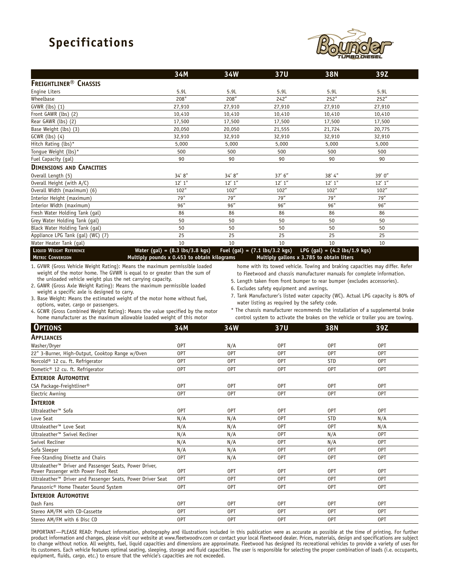## **Specifications**



|                                   | 34M                                                                                      | 34W     | 37U                                             | <b>38N</b>                                     | 39Z     |  |  |
|-----------------------------------|------------------------------------------------------------------------------------------|---------|-------------------------------------------------|------------------------------------------------|---------|--|--|
| FREIGHTLINER <sup>®</sup> CHASSIS |                                                                                          |         |                                                 |                                                |         |  |  |
| Engine Liters                     | 5.9L                                                                                     | 5.9L    | 5.9L                                            | 5.9L                                           | 5.9L    |  |  |
| Wheelbase                         | 208"                                                                                     | 208"    | 242"                                            | 252"                                           | 252''   |  |  |
| $GVWR$ (lbs) $(1)$                | 27,910                                                                                   | 27,910  | 27,910                                          | 27,910                                         | 27,910  |  |  |
| Front GAWR (lbs) (2)              | 10,410                                                                                   | 10,410  | 10,410                                          | 10,410                                         | 10,410  |  |  |
| Rear GAWR (lbs) (2)               | 17,500                                                                                   | 17,500  | 17,500                                          | 17,500                                         | 17,500  |  |  |
| Base Weight (lbs) (3)             | 20,050                                                                                   | 20,050  | 21,555                                          | 21,724                                         | 20,775  |  |  |
| $GCWR$ (lbs) $(4)$                | 32,910                                                                                   | 32,910  | 32,910                                          | 32,910                                         | 32,910  |  |  |
| Hitch Rating (lbs) $*$            | 5,000                                                                                    | 5,000   | 5,000                                           | 5,000                                          | 5,000   |  |  |
| Tongue Weight (lbs)*              | 500                                                                                      | 500     | 500                                             | 500                                            | 500     |  |  |
| Fuel Capacity (gal)               | 90                                                                                       | 90      | 90                                              | 90                                             | 90      |  |  |
| <b>DIMENSIONS AND CAPACITIES</b>  |                                                                                          |         |                                                 |                                                |         |  |  |
| Overall Length (5)                | 34' 8"                                                                                   | 34'8''  | 37' 6''                                         | 38' 4"                                         | 39' 0"  |  |  |
| Overall Height (with A/C)         | 12'1''                                                                                   | 12' 1'' | 12' 1''                                         | 12'1''                                         | 12' 1'' |  |  |
| Overall Width (maximum) (6)       | 102"                                                                                     | 102"    | 102"                                            | 102"                                           | 102"    |  |  |
| Interior Height (maximum)         | 79"                                                                                      | 79''    | 79''                                            | 79"                                            | 79''    |  |  |
| Interior Width (maximum)          | 96"                                                                                      | 96''    | 96''                                            | 96"                                            | 96''    |  |  |
| Fresh Water Holding Tank (gal)    | 86                                                                                       | 86      | 86                                              | 86                                             | 86      |  |  |
| Grey Water Holding Tank (gal)     | 50                                                                                       | 50      | 50                                              | 50                                             | 50      |  |  |
| Black Water Holding Tank (gal)    | 50                                                                                       | 50      | 50                                              | 50                                             | 50      |  |  |
| Appliance LPG Tank (gal) (WC) (7) | 25                                                                                       | 25      | 25                                              | 25                                             | 25      |  |  |
| Water Heater Tank (gal)           | 10                                                                                       | 10      | 10                                              | 10                                             | 10      |  |  |
| <b>LIQUID WEIGHT REFERENCE</b>    | Water $(gal) = (8.3 \text{ lbs}/3.8 \text{ kg})$                                         |         | Fuel (gal) = $(7.1 \text{ lbs}/3.2 \text{ kg})$ | LPG $(gal) = (4.2 \text{ lbs}/1.9 \text{ kg})$ |         |  |  |
| <b>METRIC CONVERSION</b>          | Multiply pounds x 0.453 to obtain kilograms<br>Multiply gallons x 3.785 to obtain liters |         |                                                 |                                                |         |  |  |

1. GVWR (Gross Vehicle Weight Rating): Means the maximum permissible loaded weight of the motor home. The GVWR is equal to or greater than the sum of the unloaded vehicle weight plus the net carrying capacity.

2. GAWR (Gross Axle Weight Rating): Means the maximum permissible loaded weight a specific axle is designed to carry. 3. Base Weight: Means the estimated weight of the motor home without fuel,

home with its towed vehicle. Towing and braking capacities may differ. Refer to Fleetwood and chassis manufacturer manuals for complete information. 5. Length taken from front bumper to rear bumper (excludes accessories).

- 
- 6. Excludes safety equipment and awnings.
- 7. Tank Manufacturer's listed water capacity (WC). Actual LPG capacity is 80% of water listing as required by the safety code.

options, water, cargo or passengers. 4. GCWR (Gross Combined Weight Rating): Means the value specified by the motor home manufacturer as the maximum allowable loaded weight of this motor

The chassis manufacturer recommends the installation of a supplemental brake control system to activate the brakes on the vehicle or trailer you are towing.

| <b>OPTIONS</b>                                                                                              | 34M             | 34W | <b>37U</b> | <b>38N</b> | 39Z |
|-------------------------------------------------------------------------------------------------------------|-----------------|-----|------------|------------|-----|
| <b>APPLIANCES</b>                                                                                           |                 |     |            |            |     |
| Washer/Dryer                                                                                                | 0PT             | N/A | 0PT        | 0PT        | 0PT |
| 22" 3-Burner, High-Output, Cooktop Range w/Oven                                                             | 0PT             | 0PT | 0PT        | 0PT        | 0PT |
| Norcold <sup>®</sup> 12 cu. ft. Refrigerator                                                                | 0PT             | 0PT | 0PT        | <b>STD</b> | 0PT |
| Dometic® 12 cu. ft. Refrigerator                                                                            | 0PT             | 0PT | 0PT        | OPT        | 0PT |
| <b>EXTERIOR AUTOMOTIVE</b>                                                                                  |                 |     |            |            |     |
| CSA Package-Freightliner®                                                                                   | 0PT             | 0PT | 0PT        | OPT        | 0PT |
| Electric Awning                                                                                             | 0PT             | 0PT | 0PT        | 0PT        | 0PT |
| <b>INTERIOR</b>                                                                                             |                 |     |            |            |     |
| Ultraleather <sup>™</sup> Sofa                                                                              | 0 <sub>PT</sub> | 0PT | <b>OPT</b> | 0PT        | 0PT |
| Love Seat                                                                                                   | N/A             | N/A | 0PT        | <b>STD</b> | N/A |
| Ultraleather™ Love Seat                                                                                     | N/A             | N/A | 0PT        | 0PT        | N/A |
| Ultraleather™ Swivel Recliner                                                                               | N/A             | N/A | 0PT        | N/A        | 0PT |
| Swivel Recliner                                                                                             | N/A             | N/A | 0PT        | N/A        | 0PT |
| Sofa Sleeper                                                                                                | N/A             | N/A | 0PT        | 0PT        | 0PT |
| Free-Standing Dinette and Chairs                                                                            | 0PT             | N/A | 0PT        | 0PT        | 0PT |
| Ultraleather <sup>™</sup> Driver and Passenger Seats, Power Driver,<br>Power Passenger with Power Foot Rest | 0PT             | 0PT | 0PT        | 0PT        | 0PT |
| Ultraleather™ Driver and Passenger Seats, Power Driver Seat                                                 | 0PT             | 0PT | 0PT        | 0PT        | 0PT |
| Panasonic® Home Theater Sound System                                                                        | 0PT             | 0PT | 0PT        | 0PT        | 0PT |
| <b>INTERIOR AUTOMOTIVE</b>                                                                                  |                 |     |            |            |     |
| Dash Fans                                                                                                   | 0PT             | 0PT | 0PT        | 0PT        | 0PT |
| Stereo AM/FM with CD-Cassette                                                                               | 0PT             | 0PT | 0PT        | 0PT        | 0PT |
| Stereo AM/FM with 6 Disc CD                                                                                 | 0PT             | 0PT | 0PT        | 0PT        | 0PT |
|                                                                                                             |                 |     |            |            |     |

IMPORTANT—PLEASE READ: Product information, photography and illustrations included in this publication were as accurate as possible at the time of printing. For further product information and changes, please visit our website at www.fleetwoodrv.com or contact your local Fleetwood dealer. Prices, materials, design and specifications are subject to change without notice. All weights, fuel, liquid capacities and dimensions are approximate. Fleetwood has designed its recreational vehicles to provide a variety of uses for its customers. Each vehicle features optimal seating, sleeping, storage and fluid capacities. The user is responsible for selecting the proper combination of loads (i.e. occupants, equipment, fluids, cargo, etc.) to ensure that the vehicle's capacities are not exceeded.